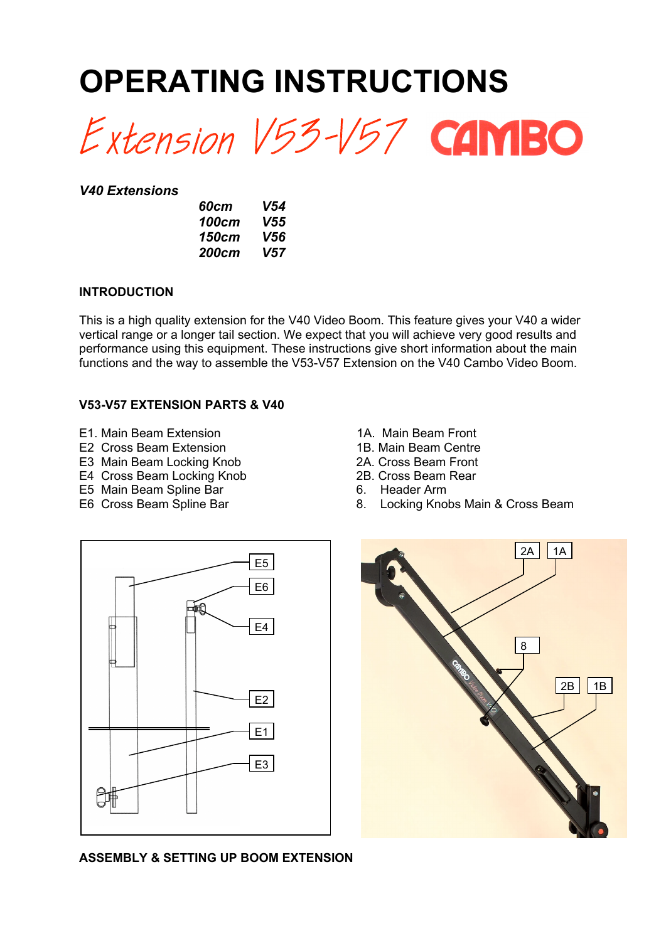# **OPERATING INSTRUCTIONS**

Extension V53-V57 CAMBO

#### *V40 Extensions*

| 60cm  | V54 |
|-------|-----|
| 100cm | V55 |
| 150cm | V56 |
| 200cm | V57 |

#### **INTRODUCTION**

This is a high quality extension for the V40 Video Boom. This feature gives your V40 a wider vertical range or a longer tail section. We expect that you will achieve very good results and performance using this equipment. These instructions give short information about the main functions and the way to assemble the V53-V57 Extension on the V40 Cambo Video Boom.

#### **V53-V57 EXTENSION PARTS & V40**

- E1. Main Beam Extension<br>
E2 Cross Beam Extension<br>
1B. Main Beam Centre
- E2 Cross Beam Extension
- E3 Main Beam Locking Knob<br>
E4 Cross Beam Locking Knob<br>
2B. Cross Beam Rear
- E4 Cross Beam Locking Knob
- E5 Main Beam Spline Bar 6. Header Arm
- 
- 
- 
- 
- 
- 
- E6 Cross Beam Spline Bar 8. Locking Knobs Main & Cross Beam





#### **ASSEMBLY & SETTING UP BOOM EXTENSION**